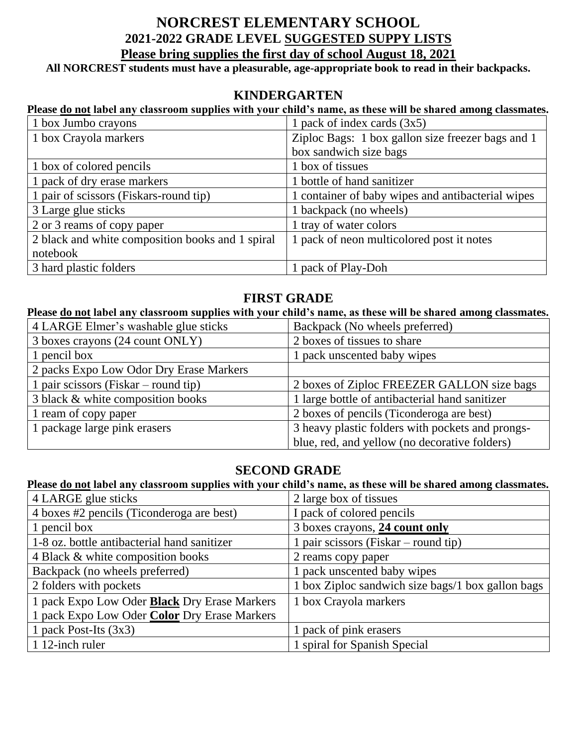# **NORCREST ELEMENTARY SCHOOL 2021-2022 GRADE LEVEL SUGGESTED SUPPY LISTS Please bring supplies the first day of school August 18, 2021**

**All NORCREST students must have a pleasurable, age-appropriate book to read in their backpacks.**

## **KINDERGARTEN**

#### **Please do not label any classroom supplies with your child's name, as these will be shared among classmates.**

| 1 box Jumbo crayons                              | 1 pack of index cards $(3x5)$                     |
|--------------------------------------------------|---------------------------------------------------|
| 1 box Crayola markers                            | Ziploc Bags: 1 box gallon size freezer bags and 1 |
|                                                  | box sandwich size bags                            |
| 1 box of colored pencils                         | 1 box of tissues                                  |
| 1 pack of dry erase markers                      | 1 bottle of hand sanitizer                        |
| 1 pair of scissors (Fiskars-round tip)           | 1 container of baby wipes and antibacterial wipes |
| 3 Large glue sticks                              | 1 backpack (no wheels)                            |
| 2 or 3 reams of copy paper                       | 1 tray of water colors                            |
| 2 black and white composition books and 1 spiral | 1 pack of neon multicolored post it notes         |
| notebook                                         |                                                   |
| 3 hard plastic folders                           | 1 pack of Play-Doh                                |

## **FIRST GRADE**

### **Please do not label any classroom supplies with your child's name, as these will be shared among classmates.**

| 4 LARGE Elmer's washable glue sticks    | Backpack (No wheels preferred)                   |
|-----------------------------------------|--------------------------------------------------|
| 3 boxes crayons (24 count ONLY)         | 2 boxes of tissues to share                      |
| 1 pencil box                            | 1 pack unscented baby wipes                      |
| 2 packs Expo Low Odor Dry Erase Markers |                                                  |
| 1 pair scissors (Fiskar – round tip)    | 2 boxes of Ziploc FREEZER GALLON size bags       |
| 3 black & white composition books       | 1 large bottle of antibacterial hand sanitizer   |
| 1 ream of copy paper                    | 2 boxes of pencils (Ticonderoga are best)        |
| 1 package large pink erasers            | 3 heavy plastic folders with pockets and prongs- |
|                                         | blue, red, and yellow (no decorative folders)    |

### **SECOND GRADE**

#### **Please do not label any classroom supplies with your child's name, as these will be shared among classmates.**

| 4 LARGE glue sticks                                 | 2 large box of tissues                            |
|-----------------------------------------------------|---------------------------------------------------|
| 4 boxes #2 pencils (Ticonderoga are best)           | I pack of colored pencils                         |
| 1 pencil box                                        | 3 boxes crayons, 24 count only                    |
| 1-8 oz. bottle antibacterial hand sanitizer         | 1 pair scissors (Fiskar – round tip)              |
| 4 Black & white composition books                   | 2 reams copy paper                                |
| Backpack (no wheels preferred)                      | pack unscented baby wipes                         |
| 2 folders with pockets                              | 1 box Ziploc sandwich size bags/1 box gallon bags |
| 1 pack Expo Low Oder <b>Black</b> Dry Erase Markers | 1 box Crayola markers                             |
| 1 pack Expo Low Oder Color Dry Erase Markers        |                                                   |
| 1 pack Post-Its $(3x3)$                             | 1 pack of pink erasers                            |
| 1 12-inch ruler                                     | 1 spiral for Spanish Special                      |